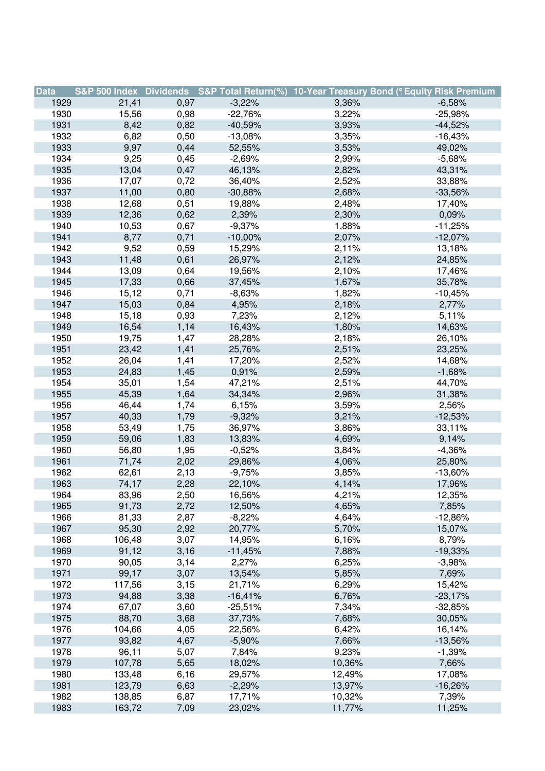| <b>Data</b> |        |      |            | S&P 500 Index Dividends S&P Total Return(%) 10-Year Treasury Bond (9 Equity Risk Premium |            |
|-------------|--------|------|------------|------------------------------------------------------------------------------------------|------------|
| 1929        | 21,41  | 0,97 | $-3,22%$   | 3,36%                                                                                    | $-6,58%$   |
| 1930        | 15,56  | 0,98 | $-22,76%$  | 3,22%                                                                                    | $-25,98%$  |
| 1931        | 8,42   | 0,82 | $-40,59%$  | 3,93%                                                                                    | $-44,52%$  |
| 1932        | 6,82   | 0,50 | $-13,08%$  | 3,35%                                                                                    | $-16,43%$  |
| 1933        | 9,97   | 0,44 | 52,55%     | 3,53%                                                                                    | 49,02%     |
| 1934        | 9,25   | 0,45 | $-2,69%$   | 2,99%                                                                                    | $-5,68%$   |
| 1935        | 13,04  | 0,47 | 46,13%     | 2,82%                                                                                    | 43,31%     |
| 1936        | 17,07  | 0,72 | 36,40%     | 2,52%                                                                                    | 33,88%     |
| 1937        | 11,00  | 0,80 | $-30,88%$  | 2,68%                                                                                    | $-33,56%$  |
| 1938        | 12,68  | 0,51 | 19,88%     | 2,48%                                                                                    | 17,40%     |
| 1939        | 12,36  | 0,62 | 2,39%      | 2,30%                                                                                    | 0,09%      |
| 1940        | 10,53  | 0,67 | $-9,37%$   | 1,88%                                                                                    | $-11,25%$  |
| 1941        | 8,77   | 0,71 | $-10,00\%$ | 2,07%                                                                                    | $-12,07%$  |
| 1942        | 9,52   | 0,59 | 15,29%     | 2,11%                                                                                    | 13,18%     |
| 1943        | 11,48  | 0,61 | 26,97%     | 2,12%                                                                                    | 24,85%     |
| 1944        | 13,09  | 0,64 | 19,56%     | 2,10%                                                                                    | 17,46%     |
| 1945        | 17,33  | 0,66 | 37,45%     | 1,67%                                                                                    | 35,78%     |
| 1946        | 15,12  | 0,71 | $-8,63%$   | 1,82%                                                                                    | $-10,45%$  |
| 1947        | 15,03  | 0,84 | 4,95%      | 2,18%                                                                                    | 2,77%      |
| 1948        | 15,18  | 0,93 | 7,23%      | 2,12%                                                                                    | 5,11%      |
| 1949        | 16,54  | 1,14 | 16,43%     | 1,80%                                                                                    | 14,63%     |
| 1950        | 19,75  | 1,47 | 28,28%     | 2,18%                                                                                    | 26,10%     |
| 1951        | 23,42  | 1,41 | 25,76%     | 2,51%                                                                                    | 23,25%     |
| 1952        | 26,04  | 1,41 | 17,20%     | 2,52%                                                                                    | 14,68%     |
| 1953        | 24,83  | 1,45 | 0,91%      | 2,59%                                                                                    | $-1,68%$   |
| 1954        | 35,01  | 1,54 | 47,21%     | 2,51%                                                                                    | 44,70%     |
| 1955        | 45,39  | 1,64 | 34,34%     | 2,96%                                                                                    | 31,38%     |
| 1956        | 46,44  | 1,74 | 6,15%      | 3,59%                                                                                    | 2,56%      |
| 1957        | 40,33  | 1,79 | $-9,32%$   | 3,21%                                                                                    | $-12,53%$  |
| 1958        | 53,49  | 1,75 | 36,97%     | 3,86%                                                                                    | 33,11%     |
| 1959        | 59,06  | 1,83 | 13,83%     | 4,69%                                                                                    | 9,14%      |
| 1960        | 56,80  | 1,95 | $-0,52%$   | 3,84%                                                                                    | $-4,36%$   |
| 1961        | 71,74  | 2,02 | 29,86%     | 4,06%                                                                                    | 25,80%     |
| 1962        | 62,61  | 2,13 | $-9,75%$   | 3,85%                                                                                    | $-13,60\%$ |
| 1963        | 74,17  | 2,28 | 22,10%     | 4,14%                                                                                    | 17,96%     |
| 1964        | 83,96  | 2,50 | 16,56%     | 4,21%                                                                                    | 12,35%     |
| 1965        | 91,73  | 2,72 | 12,50%     | 4,65%                                                                                    | 7,85%      |
| 1966        | 81,33  | 2,87 | $-8,22%$   | 4,64%                                                                                    | $-12,86%$  |
| 1967        | 95,30  | 2,92 | 20,77%     | 5,70%                                                                                    | 15,07%     |
| 1968        | 106,48 | 3,07 | 14,95%     | 6,16%                                                                                    | 8,79%      |
| 1969        | 91,12  | 3,16 | $-11,45%$  | 7,88%                                                                                    | $-19,33%$  |
| 1970        | 90,05  | 3,14 | 2,27%      | 6,25%                                                                                    | $-3,98%$   |
| 1971        | 99,17  | 3,07 | 13,54%     | 5,85%                                                                                    | 7,69%      |
| 1972        | 117,56 | 3,15 | 21,71%     | 6,29%                                                                                    | 15,42%     |
| 1973        | 94,88  | 3,38 | $-16,41%$  | 6,76%                                                                                    | $-23,17%$  |
| 1974        | 67,07  | 3,60 | $-25,51%$  | 7,34%                                                                                    | $-32,85%$  |
| 1975        | 88,70  | 3,68 | 37,73%     | 7,68%                                                                                    | 30,05%     |
| 1976        | 104,66 | 4,05 | 22,56%     | 6,42%                                                                                    | 16,14%     |
| 1977        | 93,82  | 4,67 | $-5,90%$   | 7,66%                                                                                    | $-13,56%$  |
| 1978        | 96,11  | 5,07 | 7,84%      | 9,23%                                                                                    | $-1,39%$   |
| 1979        | 107,78 | 5,65 | 18,02%     | 10,36%                                                                                   | 7,66%      |
| 1980        | 133,48 | 6,16 | 29,57%     | 12,49%                                                                                   | 17,08%     |
| 1981        | 123,79 | 6,63 | $-2,29%$   | 13,97%                                                                                   | $-16,26%$  |
| 1982        | 138,85 | 6,87 | 17,71%     | 10,32%                                                                                   | 7,39%      |
| 1983        | 163,72 | 7,09 | 23,02%     | 11,77%                                                                                   | 11,25%     |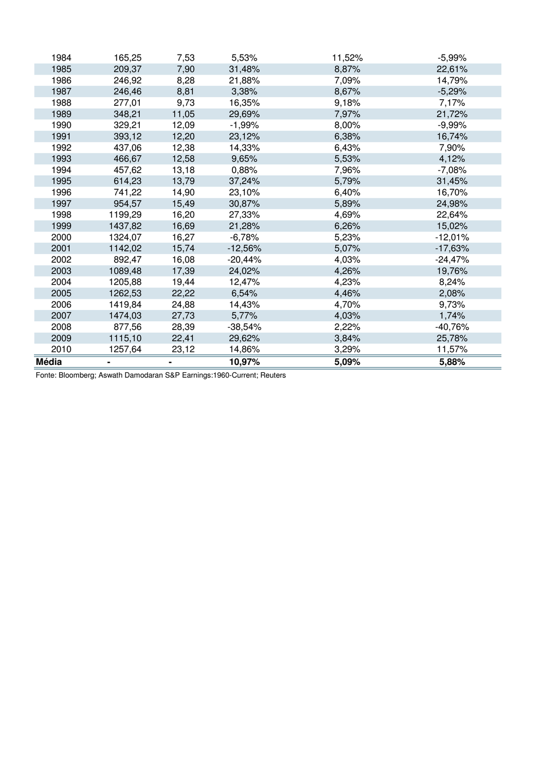| <b>Média</b> |         |       | 10,97%    | 5,09%  | 5,88%     |
|--------------|---------|-------|-----------|--------|-----------|
| 2010         | 1257,64 | 23,12 | 14,86%    | 3,29%  | 11,57%    |
| 2009         | 1115,10 | 22,41 | 29,62%    | 3,84%  | 25,78%    |
| 2008         | 877,56  | 28,39 | $-38,54%$ | 2,22%  | -40,76%   |
| 2007         | 1474,03 | 27,73 | 5,77%     | 4,03%  | 1,74%     |
| 2006         | 1419,84 | 24,88 | 14,43%    | 4,70%  | 9,73%     |
| 2005         | 1262,53 | 22,22 | 6,54%     | 4,46%  | 2,08%     |
| 2004         | 1205,88 | 19,44 | 12,47%    | 4,23%  | 8,24%     |
| 2003         | 1089,48 | 17,39 | 24,02%    | 4,26%  | 19,76%    |
| 2002         | 892,47  | 16,08 | $-20,44%$ | 4,03%  | $-24,47%$ |
| 2001         | 1142,02 | 15,74 | $-12,56%$ | 5,07%  | -17,63%   |
| 2000         | 1324,07 | 16,27 | $-6,78%$  | 5,23%  | $-12,01%$ |
| 1999         | 1437,82 | 16,69 | 21,28%    | 6,26%  | 15,02%    |
| 1998         | 1199,29 | 16,20 | 27,33%    | 4,69%  | 22,64%    |
| 1997         | 954,57  | 15,49 | 30,87%    | 5,89%  | 24,98%    |
| 1996         | 741,22  | 14,90 | 23,10%    | 6,40%  | 16,70%    |
| 1995         | 614,23  | 13,79 | 37,24%    | 5,79%  | 31,45%    |
| 1994         | 457,62  | 13,18 | 0,88%     | 7,96%  | $-7,08%$  |
| 1993         | 466,67  | 12,58 | 9,65%     | 5,53%  | 4,12%     |
| 1992         | 437,06  | 12,38 | 14,33%    | 6,43%  | 7,90%     |
| 1991         | 393,12  | 12,20 | 23,12%    | 6,38%  | 16,74%    |
| 1990         | 329,21  | 12,09 | $-1,99%$  | 8,00%  | $-9,99%$  |
| 1989         | 348,21  | 11,05 | 29,69%    | 7,97%  | 21,72%    |
| 1988         | 277,01  | 9,73  | 16,35%    | 9,18%  | 7,17%     |
| 1987         | 246,46  | 8,81  | 3,38%     | 8,67%  | $-5,29%$  |
| 1986         | 246,92  | 8,28  | 21,88%    | 7,09%  | 14,79%    |
| 1985         | 209,37  | 7,90  | 31,48%    | 8,87%  | 22,61%    |
| 1984         | 165,25  | 7,53  | 5,53%     | 11,52% | $-5,99%$  |

Fonte: Bloomberg; Aswath Damodaran S&P Earnings:1960-Current; Reuters